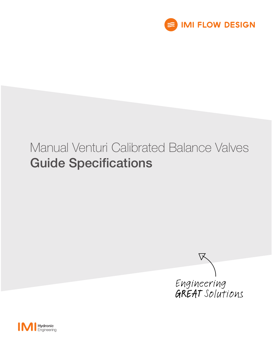

# Manual Venturi Calibrated Balance Valves Guide Specifications



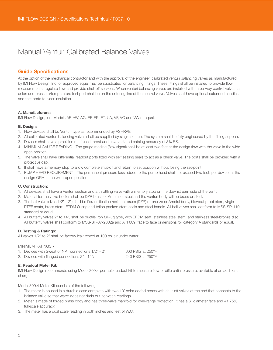# Manual Venturi Calibrated Balance Valves

### Guide Specifications

At the option of the mechanical contractor and with the approval of the engineer, calibrated venturi balancing valves as manufactured by IMI Flow Design, Inc. or approved equal may be substituted for balancing fittings. These fittings shall be installed to provide flow measurements, regulate flow and provide shut-off services. When venturi balancing valves are installed with three-way control valves, a union and pressure/temperature test port shall be on the entering line of the control valve. Valves shall have optional extended handles and test ports to clear insulation.

#### A. Manufacturers:

IMI Flow Design, Inc. Models AF, AW, AG, EF, ER, ET, UA, VF, VG and VW or equal.

#### B. Design:

- 1. Flow devices shall be Venturi type as recommended by ASHRAE.
- 2. All calibrated venturi balancing valves shall be supplied by single source. The system shall be fully engineered by the fitting supplier.
- 3. Devices shall have a precision machined throat and have a stated catalog accuracy of 3% F.S.
- 4. MINIMUM GAUGE READING The gauge reading (flow signal) shall be at least two feet at the design flow with the valve in the wideopen position.
- 5. The valve shall have differential readout ports fitted with self sealing seals to act as a check valve. The ports shall be provided with a protective cap.
- 6. It shall have a memory stop to allow complete shut-off and return to set position without losing the set-point.
- 7. PUMP HEAD REQUIREMENT The permanent pressure loss added to the pump head shall not exceed two feet, per device, at the design GPM in the wide-open position.

#### C. Construction:

- 1. All devices shall have a Venturi section and a throttling valve with a memory stop on the downstream side of the venturi.
- 2. Material for the valve bodies shall be DZR brass or Ametal or steel and the venturi body will be brass or steel.
- 3. The ball valve (sizes 1/2" 2") shall be Dezincification resistant brass (DZR) or bronze or Ametal body, blowout proof stem, virgin PTFE seats, brass stem, EPDM O-ring and teflon packed stem seals and steel handle. All ball valves shall conform to MSS-SP-110 standard or equal.
- 4. All butterfly valves 2" to 14", shall be ductile iron full-lug type, with EPDM seat, stainless steel stem, and stainless steel/bronze disc. All butterfly valves shall conform to MSS-SP-67-2002a and API 609, face to face dimensions for category A standards or equal.

#### D. Testing & Ratings:

All valves 1/2" to 2" shall be factory leak tested at 100 psi air under water.

#### MINIMUM RATINGS -

| 1. Devices with Sweat or NPT connections 1/2" - 2": | $600$ PSIG at 250 $\degree$ F |
|-----------------------------------------------------|-------------------------------|
| 2. Devices with flanged connections 2" - 14":       | 240 PSIG at $250^{\circ}$ F   |

#### E. Readout Meter Kit:

IMI Flow Design recommends using Model 300.4 portable readout kit to measure flow or differential pressure, available at an additional charge.

Model 300.4 Meter Kit consists of the following:

- 1. The meter is housed in a durable case complete with two 10' color coded hoses with shut-off valves at the end that connects to the balance valve so that water does not drain out between readings.
- 2. Meter is made of forged brass body and has three-valve manifold for over-range protection. It has a 6" diameter face and +1.75% full-scale accuracy.
- 3. The meter has a dual scale reading in both inches and feet of W.C.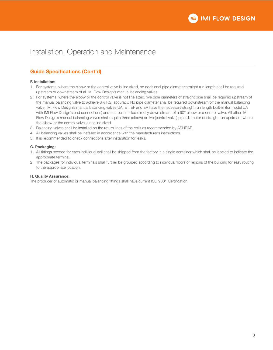## Installation, Operation and Maintenance

## Guide Specifications (Cont'd)

#### F. Installation:

- 1. For systems, where the elbow or the control valve is line sized, no additional pipe diameter straight run length shall be required upstream or downstream of all IMI Flow Design's manual balancing valves.
- 2. For systems, where the elbow or the control valve is not line sized, five pipe diameters of straight pipe shall be required upstream of the manual balancing valve to achieve 3% F.S. accuracy. No pipe diameter shall be required downstream off the manual balancing valve. IMI Flow Design's manual balancing valves UA, ET, EF and ER have the necessary straight run length built-in (for model UA with IMI Flow Design's end connections) and can be installed directly down stream of a 90° elbow or a control valve. All other IMI Flow Design's manual balancing valves shall require three (elbow) or five (control valve) pipe diameter of straight run upstream where the elbow or the control valve is not line sized.
- 3. Balancing valves shall be installed on the return lines of the coils as recommended by ASHRAE.
- 4. All balancing valves shall be installed in accordance with the manufacturer's instructions.
- 5. It is recommended to check connections after installation for leaks.

#### G. Packaging:

- 1. All fittings needed for each individual coil shall be shipped from the factory in a single container which shall be labeled to indicate the appropriate terminal.
- 2. The packages for individual terminals shall further be grouped according to individual floors or regions of the building for easy routing to the appropriate location.

#### H. Quality Assurance:

The producer of automatic or manual balancing fittings shall have current ISO 9001 Certification.